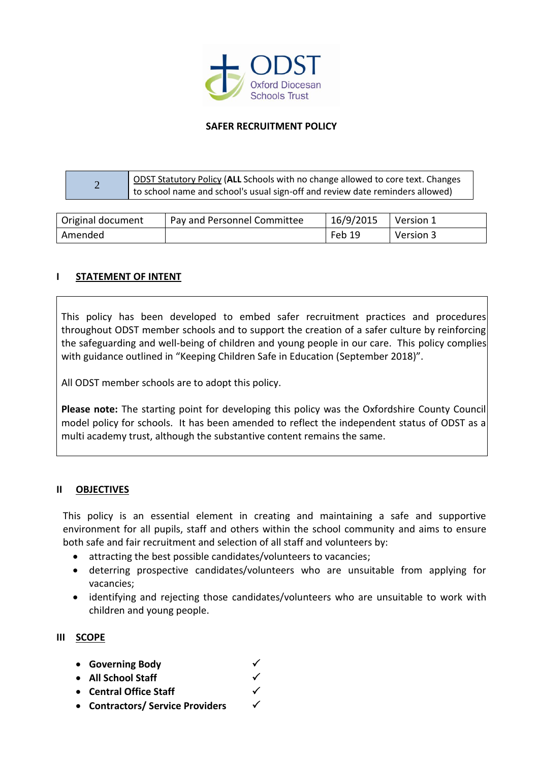

## **SAFER RECRUITMENT POLICY**

| $\overline{\phantom{0}}$ | <b>DDST Statutory Policy (ALL Schools with no change allowed to core text. Changes</b> |
|--------------------------|----------------------------------------------------------------------------------------|
|                          | to school name and school's usual sign-off and review date reminders allowed)          |

| Original document | Pay and Personnel Committee | 16/9/2015 | Version 1 |
|-------------------|-----------------------------|-----------|-----------|
| Amended           |                             | Feb 19    | Version 3 |

## **I STATEMENT OF INTENT**

This policy has been developed to embed safer recruitment practices and procedures throughout ODST member schools and to support the creation of a safer culture by reinforcing the safeguarding and well-being of children and young people in our care. This policy complies with guidance outlined in "Keeping Children Safe in Education (September 2018)".

All ODST member schools are to adopt this policy.

**Please note:** The starting point for developing this policy was the Oxfordshire County Council model policy for schools. It has been amended to reflect the independent status of ODST as a multi academy trust, although the substantive content remains the same.

#### **II OBJECTIVES**

This policy is an essential element in creating and maintaining a safe and supportive environment for all pupils, staff and others within the school community and aims to ensure both safe and fair recruitment and selection of all staff and volunteers by:

- attracting the best possible candidates/volunteers to vacancies;
- deterring prospective candidates/volunteers who are unsuitable from applying for vacancies;
- identifying and rejecting those candidates/volunteers who are unsuitable to work with children and young people.

## **III SCOPE**

- **Governing Body**
- **All School Staff**
- **Central Office Staff**
- **Contractors/ Service Providers**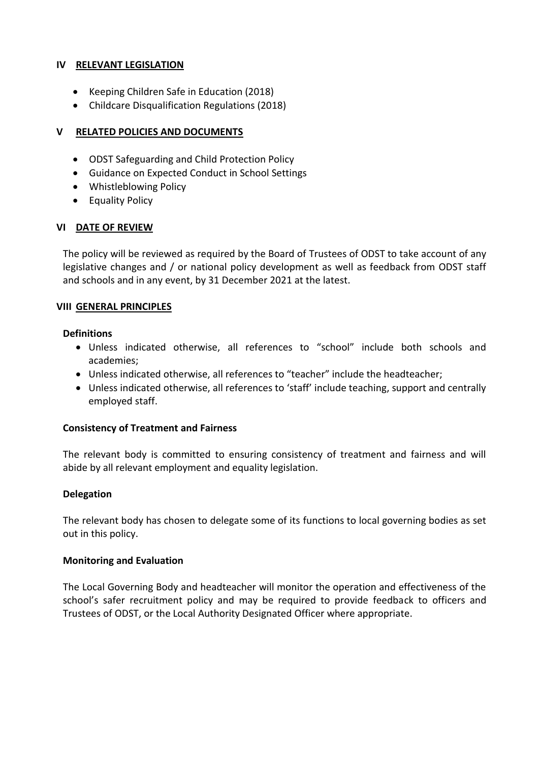## **IV RELEVANT LEGISLATION**

- Keeping Children Safe in Education (2018)
- Childcare Disqualification Regulations (2018)

## **V RELATED POLICIES AND DOCUMENTS**

- ODST Safeguarding and Child Protection Policy
- Guidance on Expected Conduct in School Settings
- Whistleblowing Policy
- Equality Policy

## **VI DATE OF REVIEW**

The policy will be reviewed as required by the Board of Trustees of ODST to take account of any legislative changes and / or national policy development as well as feedback from ODST staff and schools and in any event, by 31 December 2021 at the latest.

## **VIII GENERAL PRINCIPLES**

## **Definitions**

- Unless indicated otherwise, all references to "school" include both schools and academies;
- Unless indicated otherwise, all references to "teacher" include the headteacher;
- Unless indicated otherwise, all references to 'staff' include teaching, support and centrally employed staff.

#### **Consistency of Treatment and Fairness**

The relevant body is committed to ensuring consistency of treatment and fairness and will abide by all relevant employment and equality legislation.

## **Delegation**

The relevant body has chosen to delegate some of its functions to local governing bodies as set out in this policy.

#### **Monitoring and Evaluation**

The Local Governing Body and headteacher will monitor the operation and effectiveness of the school's safer recruitment policy and may be required to provide feedback to officers and Trustees of ODST, or the Local Authority Designated Officer where appropriate.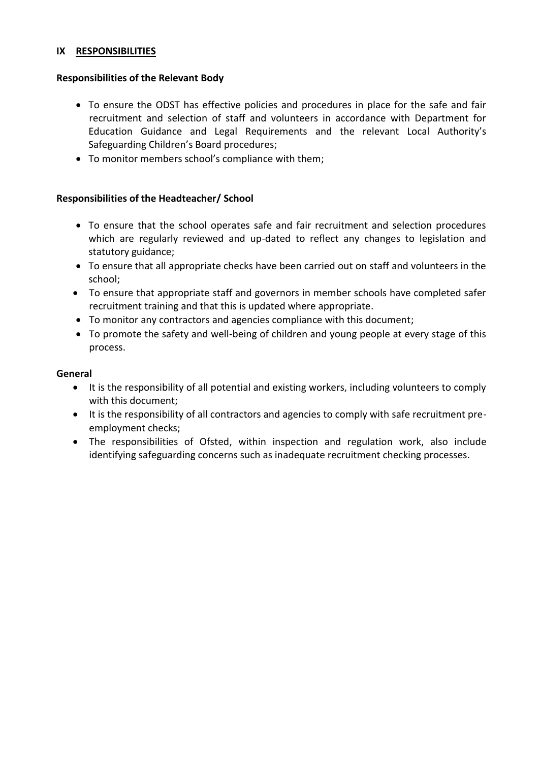#### **IX RESPONSIBILITIES**

#### **Responsibilities of the Relevant Body**

- To ensure the ODST has effective policies and procedures in place for the safe and fair recruitment and selection of staff and volunteers in accordance with Department for Education Guidance and Legal Requirements and the relevant Local Authority's Safeguarding Children's Board procedures;
- To monitor members school's compliance with them;

## **Responsibilities of the Headteacher/ School**

- To ensure that the school operates safe and fair recruitment and selection procedures which are regularly reviewed and up-dated to reflect any changes to legislation and statutory guidance;
- To ensure that all appropriate checks have been carried out on staff and volunteers in the school;
- To ensure that appropriate staff and governors in member schools have completed safer recruitment training and that this is updated where appropriate.
- To monitor any contractors and agencies compliance with this document;
- To promote the safety and well-being of children and young people at every stage of this process.

#### **General**

- It is the responsibility of all potential and existing workers, including volunteers to comply with this document;
- It is the responsibility of all contractors and agencies to comply with safe recruitment preemployment checks;
- The responsibilities of Ofsted, within inspection and regulation work, also include identifying safeguarding concerns such as inadequate recruitment checking processes.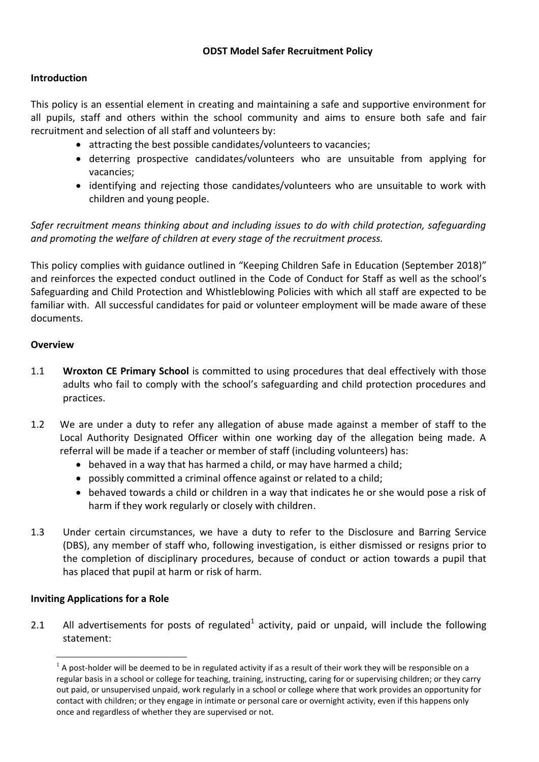## **Introduction**

This policy is an essential element in creating and maintaining a safe and supportive environment for all pupils, staff and others within the school community and aims to ensure both safe and fair recruitment and selection of all staff and volunteers by:

- attracting the best possible candidates/volunteers to vacancies;
- deterring prospective candidates/volunteers who are unsuitable from applying for vacancies;
- identifying and rejecting those candidates/volunteers who are unsuitable to work with children and young people.

*Safer recruitment means thinking about and including issues to do with child protection, safeguarding and promoting the welfare of children at every stage of the recruitment process.* 

This policy complies with guidance outlined in "Keeping Children Safe in Education (September 2018)" and reinforces the expected conduct outlined in the Code of Conduct for Staff as well as the school's Safeguarding and Child Protection and Whistleblowing Policies with which all staff are expected to be familiar with. All successful candidates for paid or volunteer employment will be made aware of these documents.

## **Overview**

- 1.1 **Wroxton CE Primary School** is committed to using procedures that deal effectively with those adults who fail to comply with the school's safeguarding and child protection procedures and practices.
- 1.2 We are under a duty to refer any allegation of abuse made against a member of staff to the Local Authority Designated Officer within one working day of the allegation being made. A referral will be made if a teacher or member of staff (including volunteers) has:
	- behaved in a way that has harmed a child, or may have harmed a child;
	- possibly committed a criminal offence against or related to a child;
	- behaved towards a child or children in a way that indicates he or she would pose a risk of harm if they work regularly or closely with children.
- 1.3 Under certain circumstances, we have a duty to refer to the Disclosure and Barring Service (DBS), any member of staff who, following investigation, is either dismissed or resigns prior to the completion of disciplinary procedures, because of conduct or action towards a pupil that has placed that pupil at harm or risk of harm.

# **Inviting Applications for a Role**

 $\overline{a}$ 

2.1 All advertisements for posts of regulated<sup>1</sup> activity, paid or unpaid, will include the following statement:

 $1$  A post-holder will be deemed to be in regulated activity if as a result of their work they will be responsible on a regular basis in a school or college for teaching, training, instructing, caring for or supervising children; or they carry out paid, or unsupervised unpaid, work regularly in a school or college where that work provides an opportunity for contact with children; or they engage in intimate or personal care or overnight activity, even if this happens only once and regardless of whether they are supervised or not.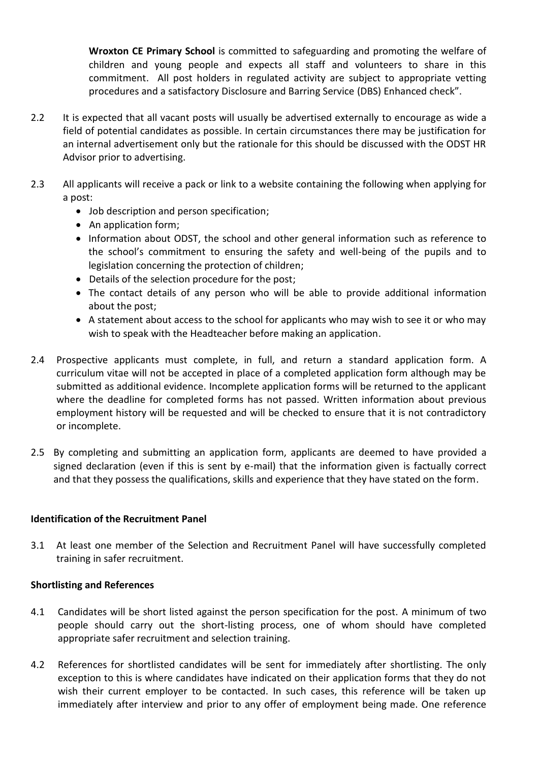**Wroxton CE Primary School** is committed to safeguarding and promoting the welfare of children and young people and expects all staff and volunteers to share in this commitment. All post holders in regulated activity are subject to appropriate vetting procedures and a satisfactory Disclosure and Barring Service (DBS) Enhanced check".

- 2.2 It is expected that all vacant posts will usually be advertised externally to encourage as wide a field of potential candidates as possible. In certain circumstances there may be justification for an internal advertisement only but the rationale for this should be discussed with the ODST HR Advisor prior to advertising.
- 2.3 All applicants will receive a pack or link to a website containing the following when applying for a post:
	- Job description and person specification;
	- An application form;
	- Information about ODST, the school and other general information such as reference to the school's commitment to ensuring the safety and well-being of the pupils and to legislation concerning the protection of children;
	- Details of the selection procedure for the post;
	- The contact details of any person who will be able to provide additional information about the post;
	- A statement about access to the school for applicants who may wish to see it or who may wish to speak with the Headteacher before making an application.
- 2.4 Prospective applicants must complete, in full, and return a standard application form. A curriculum vitae will not be accepted in place of a completed application form although may be submitted as additional evidence. Incomplete application forms will be returned to the applicant where the deadline for completed forms has not passed. Written information about previous employment history will be requested and will be checked to ensure that it is not contradictory or incomplete.
- 2.5 By completing and submitting an application form, applicants are deemed to have provided a signed declaration (even if this is sent by e-mail) that the information given is factually correct and that they possess the qualifications, skills and experience that they have stated on the form.

## **Identification of the Recruitment Panel**

3.1 At least one member of the Selection and Recruitment Panel will have successfully completed training in safer recruitment.

## **Shortlisting and References**

- 4.1 Candidates will be short listed against the person specification for the post. A minimum of two people should carry out the short-listing process, one of whom should have completed appropriate safer recruitment and selection training.
- 4.2 References for shortlisted candidates will be sent for immediately after shortlisting. The only exception to this is where candidates have indicated on their application forms that they do not wish their current employer to be contacted. In such cases, this reference will be taken up immediately after interview and prior to any offer of employment being made. One reference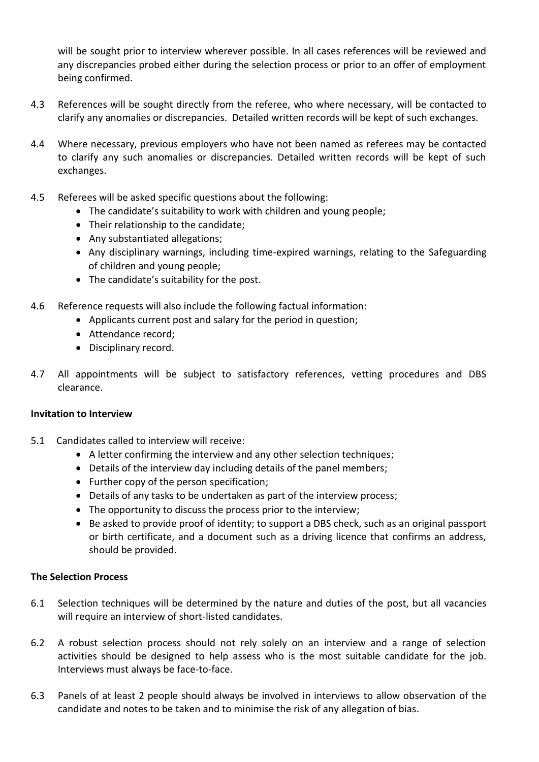will be sought prior to interview wherever possible. In all cases references will be reviewed and any discrepancies probed either during the selection process or prior to an offer of employment being confirmed.

- 4.3 References will be sought directly from the referee, who where necessary, will be contacted to clarify any anomalies or discrepancies. Detailed written records will be kept of such exchanges.
- 4.4 Where necessary, previous employers who have not been named as referees may be contacted to clarify any such anomalies or discrepancies. Detailed written records will be kept of such exchanges.
- 4.5 Referees will be asked specific questions about the following:
	- The candidate's suitability to work with children and young people;
	- Their relationship to the candidate;
	- Any substantiated allegations;
	- Any disciplinary warnings, including time-expired warnings, relating to the Safeguarding of children and young people;
	- The candidate's suitability for the post.
- 4.6 Reference requests will also include the following factual information:
	- Applicants current post and salary for the period in question;
	- Attendance record;
	- Disciplinary record.
- 4.7 All appointments will be subject to satisfactory references, vetting procedures and DBS clearance.

#### **Invitation to Interview**

- 5.1 Candidates called to interview will receive:
	- A letter confirming the interview and any other selection techniques;
	- Details of the interview day including details of the panel members;
	- Further copy of the person specification;
	- Details of any tasks to be undertaken as part of the interview process;
	- The opportunity to discuss the process prior to the interview;
	- Be asked to provide proof of identity; to support a DBS check, such as an original passport or birth certificate, and a document such as a driving licence that confirms an address, should be provided.

#### **The Selection Process**

- 6.1 Selection techniques will be determined by the nature and duties of the post, but all vacancies will require an interview of short-listed candidates.
- 6.2 A robust selection process should not rely solely on an interview and a range of selection activities should be designed to help assess who is the most suitable candidate for the job. Interviews must always be face-to-face.
- 6.3 Panels of at least 2 people should always be involved in interviews to allow observation of the candidate and notes to be taken and to minimise the risk of any allegation of bias.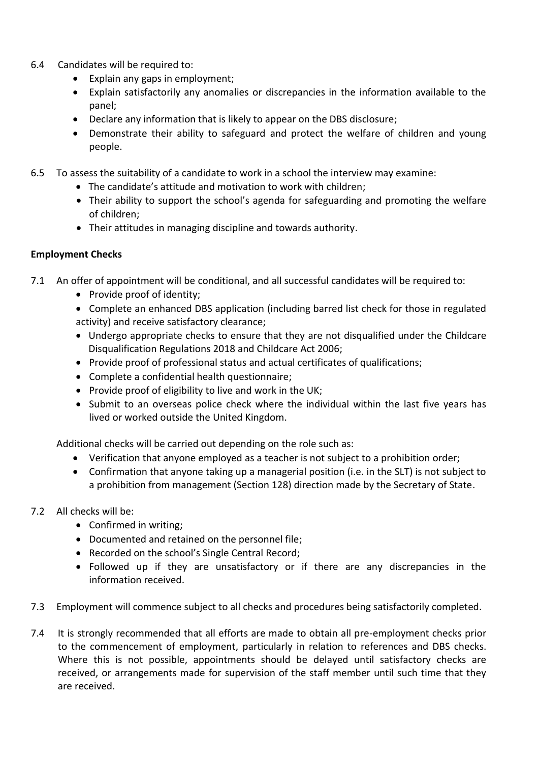- 6.4 Candidates will be required to:
	- Explain any gaps in employment;
	- Explain satisfactorily any anomalies or discrepancies in the information available to the panel;
	- Declare any information that is likely to appear on the DBS disclosure;
	- Demonstrate their ability to safeguard and protect the welfare of children and young people.
- 6.5 To assess the suitability of a candidate to work in a school the interview may examine:
	- The candidate's attitude and motivation to work with children;
	- Their ability to support the school's agenda for safeguarding and promoting the welfare of children;
	- Their attitudes in managing discipline and towards authority.

# **Employment Checks**

- 7.1 An offer of appointment will be conditional, and all successful candidates will be required to:
	- Provide proof of identity;
	- Complete an enhanced DBS application (including barred list check for those in regulated activity) and receive satisfactory clearance;
	- Undergo appropriate checks to ensure that they are not disqualified under the Childcare Disqualification Regulations 2018 and Childcare Act 2006;
	- Provide proof of professional status and actual certificates of qualifications;
	- Complete a confidential health questionnaire;
	- Provide proof of eligibility to live and work in the UK;
	- Submit to an overseas police check where the individual within the last five years has lived or worked outside the United Kingdom.

Additional checks will be carried out depending on the role such as:

- Verification that anyone employed as a teacher is not subject to a prohibition order;
- Confirmation that anyone taking up a managerial position (i.e. in the SLT) is not subject to a prohibition from management (Section 128) direction made by the Secretary of State.
- 7.2 All checks will be:
	- Confirmed in writing;
	- Documented and retained on the personnel file;
	- Recorded on the school's Single Central Record;
	- Followed up if they are unsatisfactory or if there are any discrepancies in the information received.
- 7.3 Employment will commence subject to all checks and procedures being satisfactorily completed.
- 7.4 It is strongly recommended that all efforts are made to obtain all pre-employment checks prior to the commencement of employment, particularly in relation to references and DBS checks. Where this is not possible, appointments should be delayed until satisfactory checks are received, or arrangements made for supervision of the staff member until such time that they are received.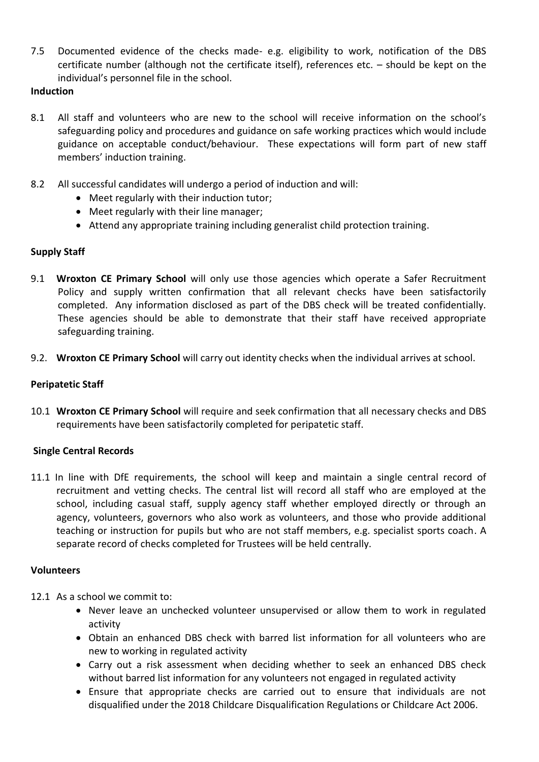7.5 Documented evidence of the checks made- e.g. eligibility to work, notification of the DBS certificate number (although not the certificate itself), references etc. – should be kept on the individual's personnel file in the school.

## **Induction**

- 8.1 All staff and volunteers who are new to the school will receive information on the school's safeguarding policy and procedures and guidance on safe working practices which would include guidance on acceptable conduct/behaviour. These expectations will form part of new staff members' induction training.
- 8.2 All successful candidates will undergo a period of induction and will:
	- Meet regularly with their induction tutor;
	- Meet regularly with their line manager;
	- Attend any appropriate training including generalist child protection training.

## **Supply Staff**

- 9.1 **Wroxton CE Primary School** will only use those agencies which operate a Safer Recruitment Policy and supply written confirmation that all relevant checks have been satisfactorily completed. Any information disclosed as part of the DBS check will be treated confidentially. These agencies should be able to demonstrate that their staff have received appropriate safeguarding training.
- 9.2. **Wroxton CE Primary School** will carry out identity checks when the individual arrives at school.

### **Peripatetic Staff**

10.1 **Wroxton CE Primary School** will require and seek confirmation that all necessary checks and DBS requirements have been satisfactorily completed for peripatetic staff.

#### **Single Central Records**

11.1 In line with DfE requirements, the school will keep and maintain a single central record of recruitment and vetting checks. The central list will record all staff who are employed at the school, including casual staff, supply agency staff whether employed directly or through an agency, volunteers, governors who also work as volunteers, and those who provide additional teaching or instruction for pupils but who are not staff members, e.g. specialist sports coach. A separate record of checks completed for Trustees will be held centrally.

#### **Volunteers**

- 12.1 As a school we commit to:
	- Never leave an unchecked volunteer unsupervised or allow them to work in regulated activity
	- Obtain an enhanced DBS check with barred list information for all volunteers who are new to working in regulated activity
	- Carry out a risk assessment when deciding whether to seek an enhanced DBS check without barred list information for any volunteers not engaged in regulated activity
	- Ensure that appropriate checks are carried out to ensure that individuals are not disqualified under the 2018 Childcare Disqualification Regulations or Childcare Act 2006.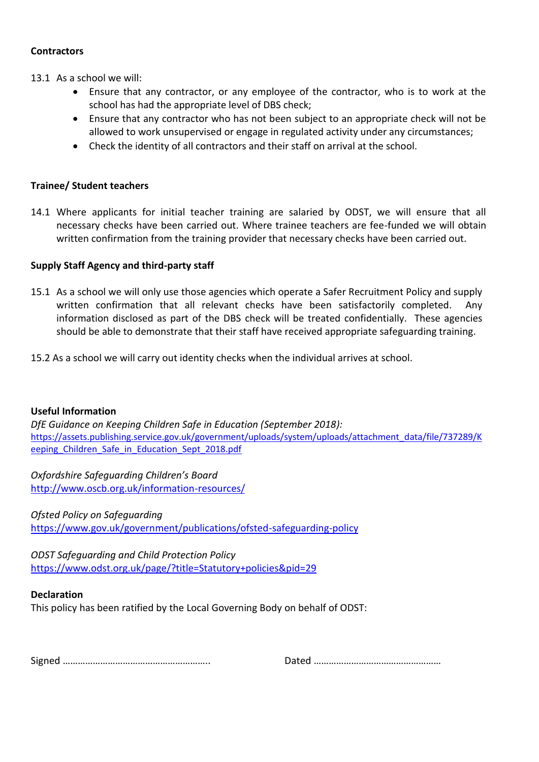#### **Contractors**

- 13.1 As a school we will:
	- Ensure that any contractor, or any employee of the contractor, who is to work at the school has had the appropriate level of DBS check;
	- Ensure that any contractor who has not been subject to an appropriate check will not be allowed to work unsupervised or engage in regulated activity under any circumstances;
	- Check the identity of all contractors and their staff on arrival at the school.

## **Trainee/ Student teachers**

14.1 Where applicants for initial teacher training are salaried by ODST, we will ensure that all necessary checks have been carried out. Where trainee teachers are fee-funded we will obtain written confirmation from the training provider that necessary checks have been carried out.

## **Supply Staff Agency and third-party staff**

- 15.1 As a school we will only use those agencies which operate a Safer Recruitment Policy and supply written confirmation that all relevant checks have been satisfactorily completed. Any information disclosed as part of the DBS check will be treated confidentially. These agencies should be able to demonstrate that their staff have received appropriate safeguarding training.
- 15.2 As a school we will carry out identity checks when the individual arrives at school.

#### **Useful Information**

*DfE Guidance on Keeping Children Safe in Education (September 2018):* [https://assets.publishing.service.gov.uk/government/uploads/system/uploads/attachment\\_data/file/737289/K](https://assets.publishing.service.gov.uk/government/uploads/system/uploads/attachment_data/file/737289/Keeping_Children_Safe_in_Education_Sept_2018.pdf) eeping Children Safe in Education Sept 2018.pdf

*Oxfordshire Safeguarding Children's Board* http://www.oscb.org.uk/information-resources/

*Ofsted Policy on Safeguarding* <https://www.gov.uk/government/publications/ofsted-safeguarding-policy>

*ODST Safeguarding and Child Protection Policy* <https://www.odst.org.uk/page/?title=Statutory+policies&pid=29>

#### **Declaration**

This policy has been ratified by the Local Governing Body on behalf of ODST:

Signed ………………………………………………….. Dated ……………………………………………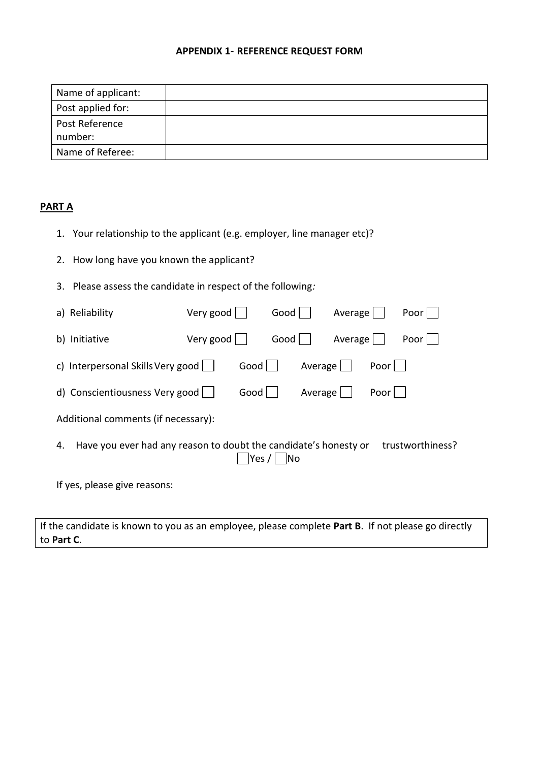#### **APPENDIX 1**- **REFERENCE REQUEST FORM**

| Name of applicant: |  |
|--------------------|--|
| Post applied for:  |  |
| Post Reference     |  |
| number:            |  |
| Name of Referee:   |  |

## **PART A**

- 1. Your relationship to the applicant (e.g. employer, line manager etc)?
- 2. How long have you known the applicant?
- 3. Please assess the candidate in respect of the following*:*

| a) Reliability                                                                                                        | Very good     | Good $ $ | Average | Poor |
|-----------------------------------------------------------------------------------------------------------------------|---------------|----------|---------|------|
| b) Initiative                                                                                                         | Very good $ $ | Good     | Average | Poor |
| c) Interpersonal Skills Very good<br>Good $ $<br>Average<br>Poor                                                      |               |          |         |      |
| d) Conscientiousness Very good                                                                                        | Good          | Average  | Poor    |      |
| Additional comments (if necessary):                                                                                   |               |          |         |      |
| Have you ever had any reason to doubt the candidate's honesty or<br>trustworthiness?<br>4.<br>Yes /<br>N <sub>o</sub> |               |          |         |      |
| If yes, please give reasons:                                                                                          |               |          |         |      |

If the candidate is known to you as an employee, please complete **Part B**. If not please go directly to **Part C**.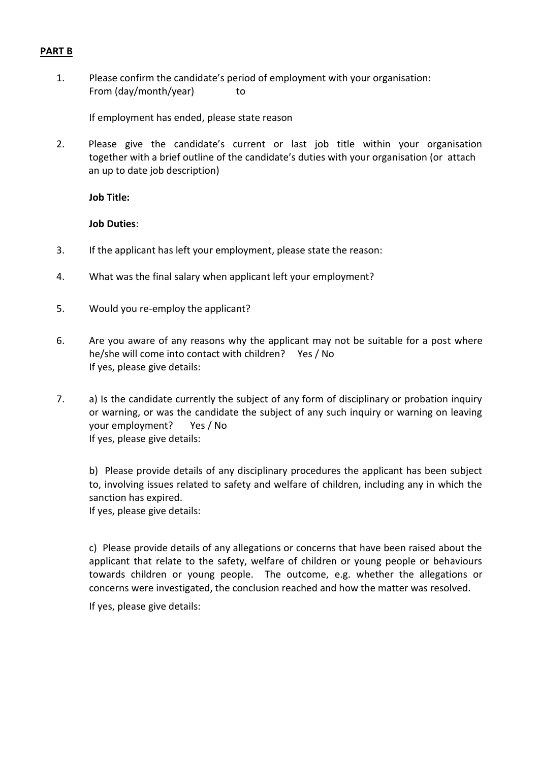#### **PART B**

1. Please confirm the candidate's period of employment with your organisation: From (day/month/year) to

If employment has ended, please state reason

2. Please give the candidate's current or last job title within your organisation together with a brief outline of the candidate's duties with your organisation (or attach an up to date job description)

**Job Title:**

#### **Job Duties**:

- 3. If the applicant has left your employment, please state the reason:
- 4. What was the final salary when applicant left your employment?
- 5. Would you re-employ the applicant?
- 6. Are you aware of any reasons why the applicant may not be suitable for a post where he/she will come into contact with children? Yes / No If yes, please give details:
- 7. a) Is the candidate currently the subject of any form of disciplinary or probation inquiry or warning, or was the candidate the subject of any such inquiry or warning on leaving your employment? Yes / No If yes, please give details:

b) Please provide details of any disciplinary procedures the applicant has been subject to, involving issues related to safety and welfare of children, including any in which the sanction has expired.

If yes, please give details:

c) Please provide details of any allegations or concerns that have been raised about the applicant that relate to the safety, welfare of children or young people or behaviours towards children or young people. The outcome, e.g. whether the allegations or concerns were investigated, the conclusion reached and how the matter was resolved.

If yes, please give details: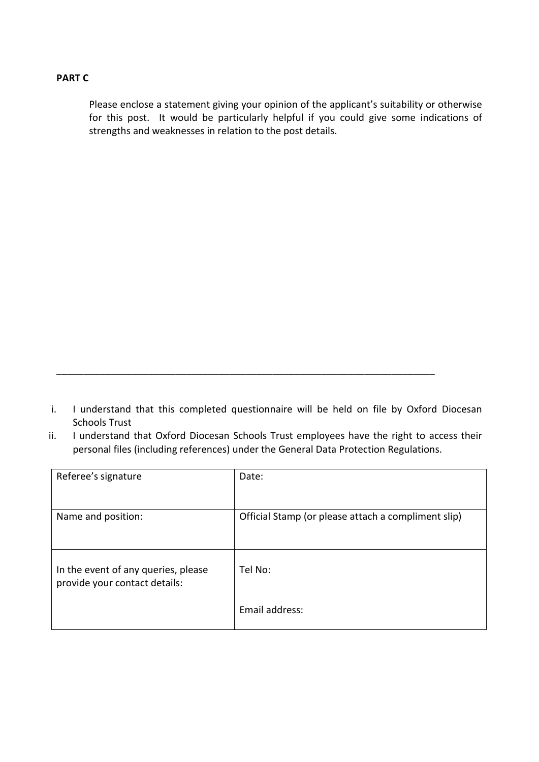## **PART C**

Please enclose a statement giving your opinion of the applicant's suitability or otherwise for this post. It would be particularly helpful if you could give some indications of strengths and weaknesses in relation to the post details.

i. I understand that this completed questionnaire will be held on file by Oxford Diocesan Schools Trust

\_\_\_\_\_\_\_\_\_\_\_\_\_\_\_\_\_\_\_\_\_\_\_\_\_\_\_\_\_\_\_\_\_\_\_\_\_\_\_\_\_\_\_\_\_\_\_\_\_\_\_\_\_\_\_\_\_\_\_\_\_\_\_\_\_\_\_\_\_\_

ii. I understand that Oxford Diocesan Schools Trust employees have the right to access their personal files (including references) under the General Data Protection Regulations.

| Referee's signature                                                  | Date:                                               |
|----------------------------------------------------------------------|-----------------------------------------------------|
| Name and position:                                                   | Official Stamp (or please attach a compliment slip) |
| In the event of any queries, please<br>provide your contact details: | Tel No:                                             |
|                                                                      | Email address:                                      |